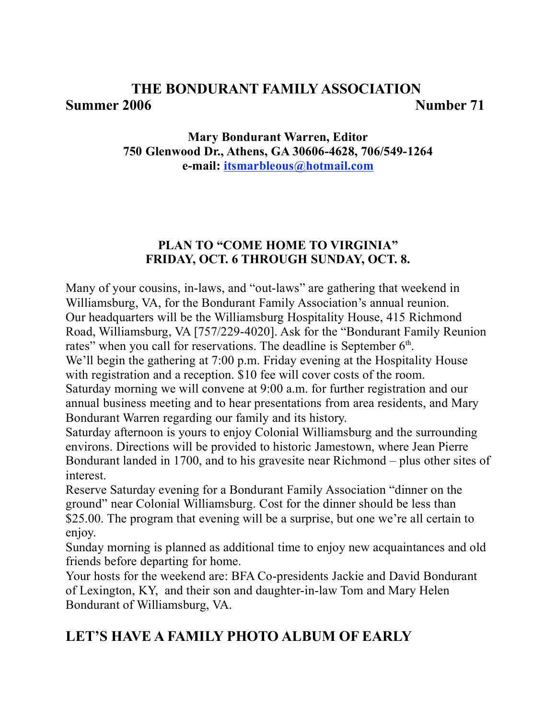# **THE BONDURANT FAMILY ASSOCIATION Summer 2006 Number 71**

# **Mary Bondurant Warren, Editor 750 Glenwood Dr., Athens, GA 30606-4628, 706/549-1264 e-mail: itsmarbleous@hotmail.com**

# **PLAN TO "COME HOME TO VIRGINIA" FRIDAY, OCT. 6 THROUGH SUNDAY, OCT. 8.**

Many of your cousins, in-laws, and "out-laws" are gathering that weekend in Williamsburg, VA, for the Bondurant Family Association's annual reunion. Our headquarters will be the Williamsburg Hospitality House, 415 Richmond Road, Williamsburg, VA [757/229-4020]. Ask for the "Bondurant Family Reunion rates" when you call for reservations. The deadline is September  $6<sup>th</sup>$ . We'll begin the gathering at 7:00 p.m. Friday evening at the Hospitality House with registration and a reception. \$10 fee will cover costs of the room.

Saturday morning we will convene at 9:00 a.m. for further registration and our annual business meeting and to hear presentations from area residents, and Mary Bondurant Warren regarding our family and its history.

Saturday afternoon is yours to enjoy Colonial Williamsburg and the surrounding environs. Directions will be provided to historic Jamestown, where Jean Pierre Bondurant landed in 1700, and to his gravesite near Richmond – plus other sites of interest.

Reserve Saturday evening for a Bondurant Family Association "dinner on the ground" near Colonial Williamsburg. Cost for the dinner should be less than \$25.00. The program that evening will be a surprise, but one we're all certain to enjoy.

Sunday morning is planned as additional time to enjoy new acquaintances and old friends before departing for home.

Your hosts for the weekend are: BFA Co-presidents Jackie and David Bondurant of Lexington, KY, and their son and daughter-in-law Tom and Mary Helen Bondurant of Williamsburg, VA.

# **LET'S HAVE A FAMILY PHOTO ALBUM OF EARLY**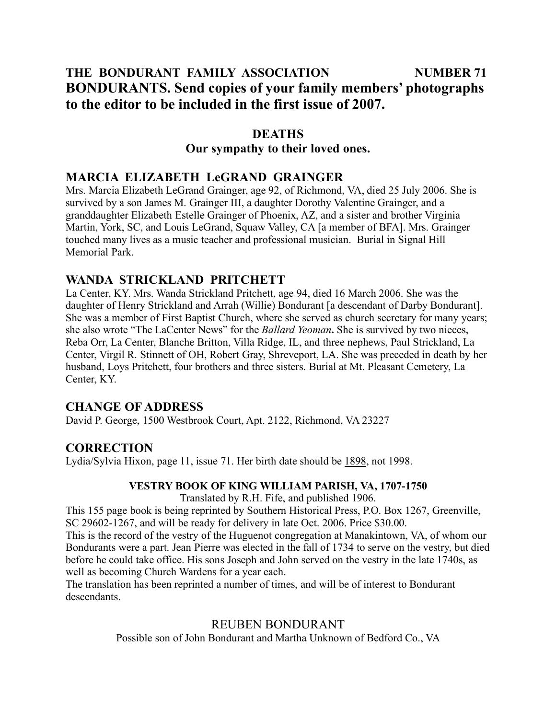# **THE BONDURANT FAMILY ASSOCIATION NUMBER 71 BONDURANTS. Send copies of your family members' photographs to the editor to be included in the first issue of 2007.**

## **DEATHS Our sympathy to their loved ones.**

# **MARCIA ELIZABETH LeGRAND GRAINGER**

Mrs. Marcia Elizabeth LeGrand Grainger, age 92, of Richmond, VA, died 25 July 2006. She is survived by a son James M. Grainger III, a daughter Dorothy Valentine Grainger, and a granddaughter Elizabeth Estelle Grainger of Phoenix, AZ, and a sister and brother Virginia Martin, York, SC, and Louis LeGrand, Squaw Valley, CA [a member of BFA]. Mrs. Grainger touched many lives as a music teacher and professional musician. Burial in Signal Hill Memorial Park.

# **WANDA STRICKLAND PRITCHETT**

La Center, KY. Mrs. Wanda Strickland Pritchett, age 94, died 16 March 2006. She was the daughter of Henry Strickland and Arrah (Willie) Bondurant [a descendant of Darby Bondurant]. She was a member of First Baptist Church, where she served as church secretary for many years; she also wrote "The LaCenter News" for the *Ballard Yeoman***.** She is survived by two nieces, Reba Orr, La Center, Blanche Britton, Villa Ridge, IL, and three nephews, Paul Strickland, La Center, Virgil R. Stinnett of OH, Robert Gray, Shreveport, LA. She was preceded in death by her husband, Loys Pritchett, four brothers and three sisters. Burial at Mt. Pleasant Cemetery, La Center, KY.

# **CHANGE OF ADDRESS**

David P. George, 1500 Westbrook Court, Apt. 2122, Richmond, VA 23227

# **CORRECTION**

Lydia/Sylvia Hixon, page 11, issue 71. Her birth date should be 1898, not 1998.

### **VESTRY BOOK OF KING WILLIAM PARISH, VA, 1707-1750**

Translated by R.H. Fife, and published 1906.

This 155 page book is being reprinted by Southern Historical Press, P.O. Box 1267, Greenville, SC 29602-1267, and will be ready for delivery in late Oct. 2006. Price \$30.00.

This is the record of the vestry of the Huguenot congregation at Manakintown, VA, of whom our Bondurants were a part. Jean Pierre was elected in the fall of 1734 to serve on the vestry, but died before he could take office. His sons Joseph and John served on the vestry in the late 1740s, as well as becoming Church Wardens for a year each.

The translation has been reprinted a number of times, and will be of interest to Bondurant descendants.

## REUBEN BONDURANT

Possible son of John Bondurant and Martha Unknown of Bedford Co., VA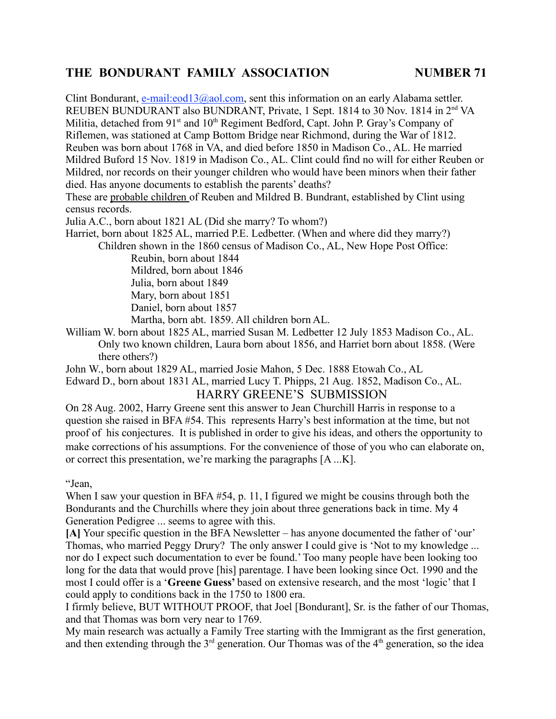Clint Bondurant, e-mail: $e^{i\theta}$  = 0.13 $\omega$ aol.com, sent this information on an early Alabama settler. REUBEN BUNDURANT also BUNDRANT, Private, 1 Sept. 1814 to 30 Nov. 1814 in 2<sup>nd</sup> VA Militia, detached from  $91<sup>st</sup>$  and  $10<sup>th</sup>$  Regiment Bedford, Capt. John P. Gray's Company of Riflemen, was stationed at Camp Bottom Bridge near Richmond, during the War of 1812. Reuben was born about 1768 in VA, and died before 1850 in Madison Co., AL. He married Mildred Buford 15 Nov. 1819 in Madison Co., AL. Clint could find no will for either Reuben or Mildred, nor records on their younger children who would have been minors when their father died. Has anyone documents to establish the parents' deaths?

These are probable children of Reuben and Mildred B. Bundrant, established by Clint using census records.

Julia A.C., born about 1821 AL (Did she marry? To whom?)

Harriet, born about 1825 AL, married P.E. Ledbetter. (When and where did they marry?)

Children shown in the 1860 census of Madison Co., AL, New Hope Post Office:

Reubin, born about 1844 Mildred, born about 1846 Julia, born about 1849 Mary, born about 1851 Daniel, born about 1857 Martha, born abt. 1859. All children born AL.

William W. born about 1825 AL, married Susan M. Ledbetter 12 July 1853 Madison Co., AL. Only two known children, Laura born about 1856, and Harriet born about 1858. (Were there others?)

John W., born about 1829 AL, married Josie Mahon, 5 Dec. 1888 Etowah Co., AL Edward D., born about 1831 AL, married Lucy T. Phipps, 21 Aug. 1852, Madison Co., AL. HARRY GREENE'S SUBMISSION

On 28 Aug. 2002, Harry Greene sent this answer to Jean Churchill Harris in response to a question she raised in BFA #54. This represents Harry's best information at the time, but not proof of his conjectures. It is published in order to give his ideas, and others the opportunity to make corrections of his assumptions. For the convenience of those of you who can elaborate on, or correct this presentation, we're marking the paragraphs [A ...K].

"Jean,

When I saw your question in BFA #54, p. 11, I figured we might be cousins through both the Bondurants and the Churchills where they join about three generations back in time. My 4 Generation Pedigree ... seems to agree with this.

**[A]** Your specific question in the BFA Newsletter – has anyone documented the father of 'our' Thomas, who married Peggy Drury? The only answer I could give is 'Not to my knowledge ... nor do I expect such documentation to ever be found.'Too many people have been looking too long for the data that would prove [his] parentage. I have been looking since Oct. 1990 and the most I could offer is a '**Greene Guess'** based on extensive research, and the most 'logic' that I could apply to conditions back in the 1750 to 1800 era.

I firmly believe, BUT WITHOUT PROOF, that Joel [Bondurant], Sr. is the father of our Thomas, and that Thomas was born very near to 1769.

My main research was actually a Family Tree starting with the Immigrant as the first generation, and then extending through the  $3<sup>rd</sup>$  generation. Our Thomas was of the  $4<sup>th</sup>$  generation, so the idea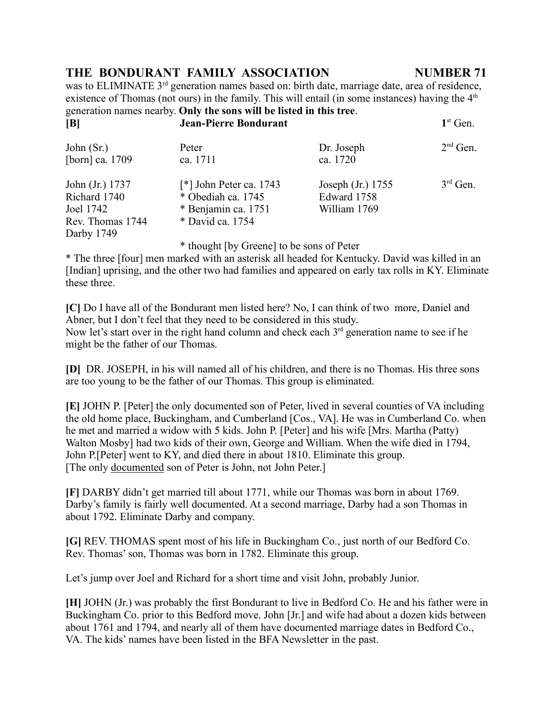was to ELIMINATE 3<sup>rd</sup> generation names based on: birth date, marriage date, area of residence, existence of Thomas (not ours) in the family. This will entail (in some instances) having the  $4<sup>th</sup>$ generation names nearby. **Only the sons will be listed in this tree**. **[B] Jean-Pierre Bondurant 1**st Gen.

| John $(Sr)$      | Peter                     | Dr. Joseph        | $2nd$ Gen. |
|------------------|---------------------------|-------------------|------------|
| [born] ca. 1709  | ca. 1711                  | ca. 1720          |            |
| John (Jr.) 1737  | $[*]$ John Peter ca. 1743 | Joseph (Jr.) 1755 | $3rd$ Gen. |
| Richard 1740     | * Obediah ca. 1745        | Edward 1758       |            |
| Joel 1742        | * Benjamin ca. 1751       | William 1769      |            |
| Rev. Thomas 1744 | * David ca. 1754          |                   |            |
| Darby 1749       |                           |                   |            |

\* thought [by Greene] to be sons of Peter

\* The three [four] men marked with an asterisk all headed for Kentucky. David was killed in an [Indian] uprising, and the other two had families and appeared on early tax rolls in KY. Eliminate these three.

**[C]** Do I have all of the Bondurant men listed here? No, I can think of two more, Daniel and Abner, but I don't feel that they need to be considered in this study. Now let's start over in the right hand column and check each  $3<sup>rd</sup>$  generation name to see if he might be the father of our Thomas.

**[D]** DR. JOSEPH, in his will named all of his children, and there is no Thomas. His three sons are too young to be the father of our Thomas. This group is eliminated.

**[E]** JOHN P. [Peter] the only documented son of Peter, lived in several counties of VA including the old home place, Buckingham, and Cumberland [Cos., VA]. He was in Cumberland Co. when he met and married a widow with 5 kids. John P. [Peter] and his wife [Mrs. Martha (Patty) Walton Mosby] had two kids of their own, George and William. When the wife died in 1794, John P.[Peter] went to KY, and died there in about 1810. Eliminate this group. [The only documented son of Peter is John, not John Peter.]

**[F]** DARBY didn't get married till about 1771, while our Thomas was born in about 1769. Darby's family is fairly well documented. At a second marriage, Darby had a son Thomas in about 1792. Eliminate Darby and company.

**[G]** REV. THOMAS spent most of his life in Buckingham Co., just north of our Bedford Co. Rev. Thomas'son, Thomas was born in 1782. Eliminate this group.

Let's jump over Joel and Richard for a short time and visit John, probably Junior.

**[H]** JOHN (Jr.) was probably the first Bondurant to live in Bedford Co. He and his father were in Buckingham Co. prior to this Bedford move. John [Jr.] and wife had about a dozen kids between about 1761 and 1794, and nearly all of them have documented marriage dates in Bedford Co., VA. The kids' names have been listed in the BFA Newsletter in the past.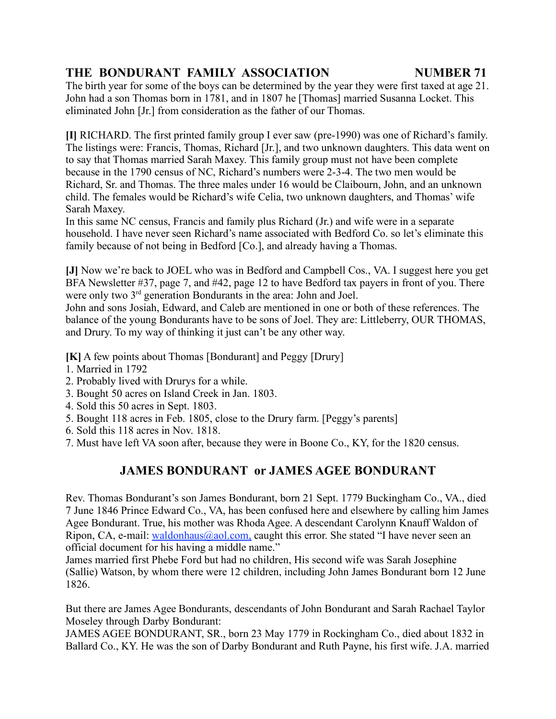The birth year for some of the boys can be determined by the year they were first taxed at age 21. John had a son Thomas born in 1781, and in 1807 he [Thomas] married Susanna Locket. This eliminated John [Jr.] from consideration as the father of our Thomas.

**[I]** RICHARD. The first printed family group I ever saw (pre-1990) was one of Richard's family. The listings were: Francis, Thomas, Richard [Jr.], and two unknown daughters. This data went on to say that Thomas married Sarah Maxey. This family group must not have been complete because in the 1790 census of NC, Richard's numbers were 2-3-4. The two men would be Richard, Sr. and Thomas. The three males under 16 would be Claibourn, John, and an unknown child. The females would be Richard's wife Celia, two unknown daughters, and Thomas' wife Sarah Maxey.

In this same NC census, Francis and family plus Richard (Jr.) and wife were in a separate household. I have never seen Richard's name associated with Bedford Co. so let's eliminate this family because of not being in Bedford [Co.], and already having a Thomas.

**[J]** Now we're back to JOEL who was in Bedford and Campbell Cos., VA. I suggest here you get BFA Newsletter #37, page 7, and #42, page 12 to have Bedford tax payers in front of you. There were only two 3<sup>rd</sup> generation Bondurants in the area: John and Joel.

John and sons Josiah, Edward, and Caleb are mentioned in one or both of these references. The balance of the young Bondurants have to be sons of Joel. They are: Littleberry, OUR THOMAS, and Drury. To my way of thinking it just can't be any other way.

**[K]** A few points about Thomas [Bondurant] and Peggy [Drury]

- 1. Married in 1792
- 2. Probably lived with Drurys for a while.
- 3. Bought 50 acres on Island Creek in Jan. 1803.
- 4. Sold this 50 acres in Sept. 1803.
- 5. Bought 118 acres in Feb. 1805, close to the Drury farm. [Peggy's parents]
- 6. Sold this 118 acres in Nov. 1818.
- 7. Must have left VA soon after, because they were in Boone Co., KY, for the 1820 census.

# **JAMES BONDURANT or JAMES AGEE BONDURANT**

Rev. Thomas Bondurant's son James Bondurant, born 21 Sept. 1779 Buckingham Co., VA., died 7 June 1846 Prince Edward Co., VA, has been confused here and elsewhere by calling him James Agee Bondurant. True, his mother was Rhoda Agee. A descendant Carolynn Knauff Waldon of Ripon, CA, e-mail: waldonhaus@aol.com, caught this error. She stated "I have never seen an official document for his having a middle name."

James married first Phebe Ford but had no children, His second wife was Sarah Josephine (Sallie) Watson, by whom there were 12 children, including John James Bondurant born 12 June 1826.

But there are James Agee Bondurants, descendants of John Bondurant and Sarah Rachael Taylor Moseley through Darby Bondurant:

JAMES AGEE BONDURANT, SR., born 23 May 1779 in Rockingham Co., died about 1832 in Ballard Co., KY. He was the son of Darby Bondurant and Ruth Payne, his first wife. J.A. married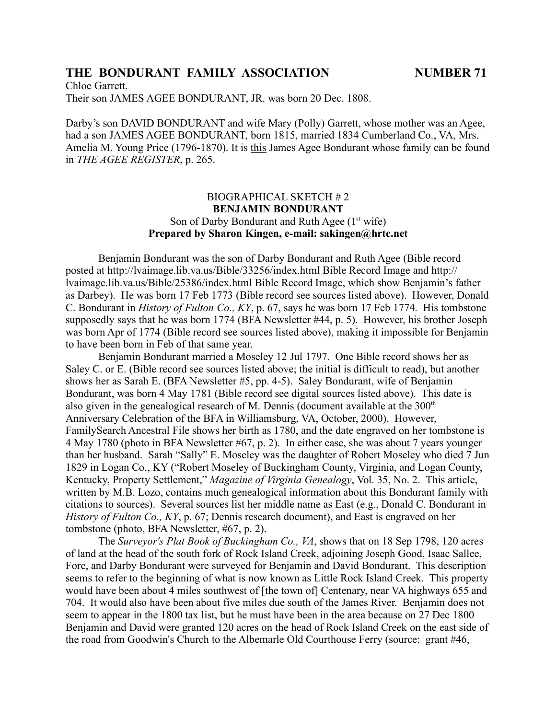Chloe Garrett. Their son JAMES AGEE BONDURANT, JR. was born 20 Dec. 1808.

Darby's son DAVID BONDURANT and wife Mary (Polly) Garrett, whose mother was an Agee, had a son JAMES AGEE BONDURANT, born 1815, married 1834 Cumberland Co., VA, Mrs. Amelia M. Young Price (1796-1870). It is this James Agee Bondurant whose family can be found in *THE AGEE REGISTER*, p. 265.

### BIOGRAPHICAL SKETCH # 2 **BENJAMIN BONDURANT** Son of Darby Bondurant and Ruth Agee  $(1<sup>st</sup>$  wife) **Prepared by Sharon Kingen, e-mail: sakingen@hrtc.net**

Benjamin Bondurant was the son of Darby Bondurant and Ruth Agee (Bible record posted at http://lvaimage.lib.va.us/Bible/33256/index.html Bible Record Image and http:// lvaimage.lib.va.us/Bible/25386/index.html Bible Record Image, which show Benjamin's father as Darbey). He was born 17 Feb 1773 (Bible record see sources listed above). However, Donald C. Bondurant in *History of Fulton Co., KY*, p. 67, says he was born 17 Feb 1774. His tombstone supposedly says that he was born 1774 (BFA Newsletter #44, p. 5). However, his brother Joseph was born Apr of 1774 (Bible record see sources listed above), making it impossible for Benjamin to have been born in Feb of that same year.

Benjamin Bondurant married a Moseley 12 Jul 1797. One Bible record shows her as Saley C. or E. (Bible record see sources listed above; the initial is difficult to read), but another shows her as Sarah E. (BFA Newsletter #5, pp. 4-5). Saley Bondurant, wife of Benjamin Bondurant, was born 4 May 1781 (Bible record see digital sources listed above). This date is also given in the genealogical research of M. Dennis (document available at the  $300<sup>th</sup>$ Anniversary Celebration of the BFA in Williamsburg, VA, October, 2000). However, FamilySearch Ancestral File shows her birth as 1780, and the date engraved on her tombstone is 4 May 1780 (photo in BFA Newsletter #67, p. 2). In either case, she was about 7 years younger than her husband. Sarah "Sally" E. Moseley was the daughter of Robert Moseley who died 7 Jun 1829 in Logan Co., KY ("Robert Moseley of Buckingham County, Virginia, and Logan County, Kentucky, Property Settlement," *Magazine of Virginia Genealogy*, Vol. 35, No. 2. This article, written by M.B. Lozo, contains much genealogical information about this Bondurant family with citations to sources). Several sources list her middle name as East (e.g., Donald C. Bondurant in *History of Fulton Co., KY*, p. 67; Dennis research document), and East is engraved on her tombstone (photo, BFA Newsletter, #67, p. 2).

The *Surveyor's Plat Book of Buckingham Co., VA*, shows that on 18 Sep 1798, 120 acres of land at the head of the south fork of Rock Island Creek, adjoining Joseph Good, Isaac Sallee, Fore, and Darby Bondurant were surveyed for Benjamin and David Bondurant. This description seems to refer to the beginning of what is now known as Little Rock Island Creek. This property would have been about 4 miles southwest of [the town of] Centenary, near VA highways 655 and 704. It would also have been about five miles due south of the James River. Benjamin does not seem to appear in the 1800 tax list, but he must have been in the area because on 27 Dec 1800 Benjamin and David were granted 120 acres on the head of Rock Island Creek on the east side of the road from Goodwin's Church to the Albemarle Old Courthouse Ferry (source: grant #46,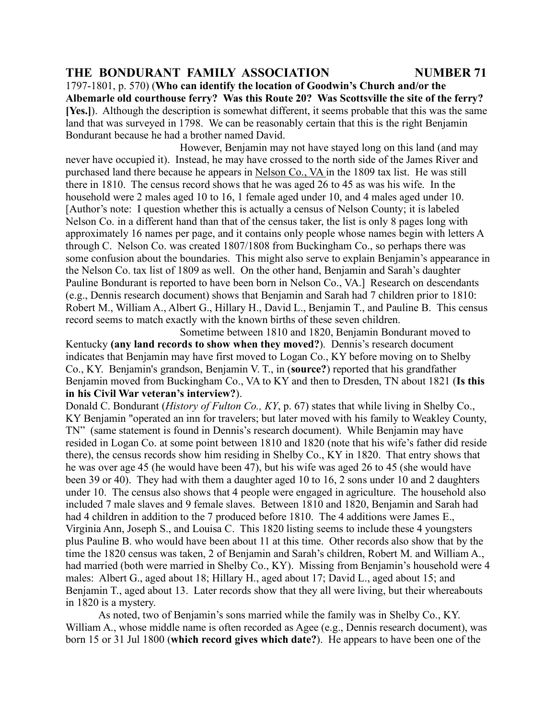1797-1801, p. 570) (**Who can identify the location of Goodwin's Church and/or the Albemarle old courthouse ferry? Was this Route 20? Was Scottsville the site of the ferry? [Yes.]**). Although the description is somewhat different, it seems probable that this was the same land that was surveyed in 1798. We can be reasonably certain that this is the right Benjamin Bondurant because he had a brother named David.

However, Benjamin may not have stayed long on this land (and may never have occupied it). Instead, he may have crossed to the north side of the James River and purchased land there because he appears in Nelson Co., VA in the 1809 tax list. He was still there in 1810. The census record shows that he was aged 26 to 45 as was his wife. In the household were 2 males aged 10 to 16, 1 female aged under 10, and 4 males aged under 10. [Author's note: I question whether this is actually a census of Nelson County; it is labeled Nelson Co. in a different hand than that of the census taker, the list is only 8 pages long with approximately 16 names per page, and it contains only people whose names begin with letters A through C. Nelson Co. was created 1807/1808 from Buckingham Co., so perhaps there was some confusion about the boundaries. This might also serve to explain Benjamin's appearance in the Nelson Co. tax list of 1809 as well. On the other hand, Benjamin and Sarah's daughter Pauline Bondurant is reported to have been born in Nelson Co., VA.] Research on descendants (e.g., Dennis research document) shows that Benjamin and Sarah had 7 children prior to 1810: Robert M., William A., Albert G., Hillary H., David L., Benjamin T., and Pauline B. This census record seems to match exactly with the known births of these seven children.

Sometime between 1810 and 1820, Benjamin Bondurant moved to Kentucky **(any land records to show when they moved?**). Dennis's research document indicates that Benjamin may have first moved to Logan Co., KY before moving on to Shelby Co., KY. Benjamin's grandson, Benjamin V. T., in (**source?**) reported that his grandfather Benjamin moved from Buckingham Co., VA to KY and then to Dresden, TN about 1821 (**Is this in his Civil War veteran's interview?**).

Donald C. Bondurant (*History of Fulton Co., KY*, p. 67) states that while living in Shelby Co., KY Benjamin "operated an inn for travelers; but later moved with his family to Weakley County, TN" (same statement is found in Dennis's research document). While Benjamin may have resided in Logan Co. at some point between 1810 and 1820 (note that his wife's father did reside there), the census records show him residing in Shelby Co., KY in 1820. That entry shows that he was over age 45 (he would have been 47), but his wife was aged 26 to 45 (she would have been 39 or 40). They had with them a daughter aged 10 to 16, 2 sons under 10 and 2 daughters under 10. The census also shows that 4 people were engaged in agriculture. The household also included 7 male slaves and 9 female slaves. Between 1810 and 1820, Benjamin and Sarah had had 4 children in addition to the 7 produced before 1810. The 4 additions were James E., Virginia Ann, Joseph S., and Louisa C. This 1820 listing seems to include these 4 youngsters plus Pauline B. who would have been about 11 at this time. Other records also show that by the time the 1820 census was taken, 2 of Benjamin and Sarah's children, Robert M. and William A., had married (both were married in Shelby Co., KY). Missing from Benjamin's household were 4 males: Albert G., aged about 18; Hillary H., aged about 17; David L., aged about 15; and Benjamin T<sub>r</sub>, aged about 13. Later records show that they all were living, but their whereabouts in 1820 is a mystery.

As noted, two of Benjamin's sons married while the family was in Shelby Co., KY. William A., whose middle name is often recorded as Agee (e.g., Dennis research document), was born 15 or 31 Jul 1800 (**which record gives which date?**). He appears to have been one of the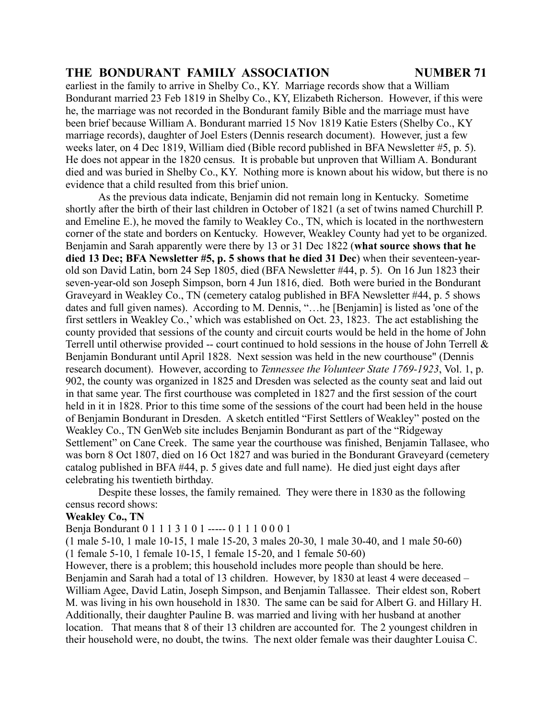earliest in the family to arrive in Shelby Co., KY. Marriage records show that a William Bondurant married 23 Feb 1819 in Shelby Co., KY, Elizabeth Richerson. However, if this were he, the marriage was not recorded in the Bondurant family Bible and the marriage must have been brief because William A. Bondurant married 15 Nov 1819 Katie Esters (Shelby Co., KY marriage records), daughter of Joel Esters (Dennis research document). However, just a few weeks later, on 4 Dec 1819, William died (Bible record published in BFA Newsletter #5, p. 5). He does not appear in the 1820 census. It is probable but unproven that William A. Bondurant died and was buried in Shelby Co., KY. Nothing more is known about his widow, but there is no evidence that a child resulted from this brief union.

As the previous data indicate, Benjamin did not remain long in Kentucky. Sometime shortly after the birth of their last children in October of 1821 (a set of twins named Churchill P. and Emeline E.), he moved the family to Weakley Co., TN, which is located in the northwestern corner of the state and borders on Kentucky. However, Weakley County had yet to be organized. Benjamin and Sarah apparently were there by 13 or 31 Dec 1822 (**what source shows that he died 13 Dec; BFA Newsletter #5, p. 5 shows that he died 31 Dec**) when their seventeen-yearold son David Latin, born 24 Sep 1805, died (BFA Newsletter #44, p. 5). On 16 Jun 1823 their seven-year-old son Joseph Simpson, born 4 Jun 1816, died. Both were buried in the Bondurant Graveyard in Weakley Co., TN (cemetery catalog published in BFA Newsletter #44, p. 5 shows dates and full given names). According to M. Dennis, "…he [Benjamin] is listed as 'one of the first settlers in Weakley Co.,' which was established on Oct. 23, 1823. The act establishing the county provided that sessions of the county and circuit courts would be held in the home of John Terrell until otherwise provided -- court continued to hold sessions in the house of John Terrell & Benjamin Bondurant until April 1828. Next session was held in the new courthouse" (Dennis research document). However, according to *Tennessee the Volunteer State 1769-1923*, Vol. 1, p. 902, the county was organized in 1825 and Dresden was selected as the county seat and laid out in that same year. The first courthouse was completed in 1827 and the first session of the court held in it in 1828. Prior to this time some of the sessions of the court had been held in the house of Benjamin Bondurant in Dresden. A sketch entitled "First Settlers of Weakley" posted on the Weakley Co., TN GenWeb site includes Benjamin Bondurant as part of the "Ridgeway Settlement" on Cane Creek. The same year the courthouse was finished, Benjamin Tallasee, who was born 8 Oct 1807, died on 16 Oct 1827 and was buried in the Bondurant Graveyard (cemetery catalog published in BFA #44, p. 5 gives date and full name). He died just eight days after celebrating his twentieth birthday.

Despite these losses, the family remained. They were there in 1830 as the following census record shows:

### **Weakley Co., TN**

Benja Bondurant 0 1 1 1 3 1 0 1 ----- 0 1 1 1 0 0 0 1

(1 male 5-10, 1 male 10-15, 1 male 15-20, 3 males 20-30, 1 male 30-40, and 1 male 50-60) (1 female 5-10, 1 female 10-15, 1 female 15-20, and 1 female 50-60)

However, there is a problem; this household includes more people than should be here. Benjamin and Sarah had a total of 13 children. However, by 1830 at least 4 were deceased – William Agee, David Latin, Joseph Simpson, and Benjamin Tallassee. Their eldest son, Robert M. was living in his own household in 1830. The same can be said for Albert G. and Hillary H. Additionally, their daughter Pauline B. was married and living with her husband at another location. That means that 8 of their 13 children are accounted for. The 2 youngest children in their household were, no doubt, the twins. The next older female was their daughter Louisa C.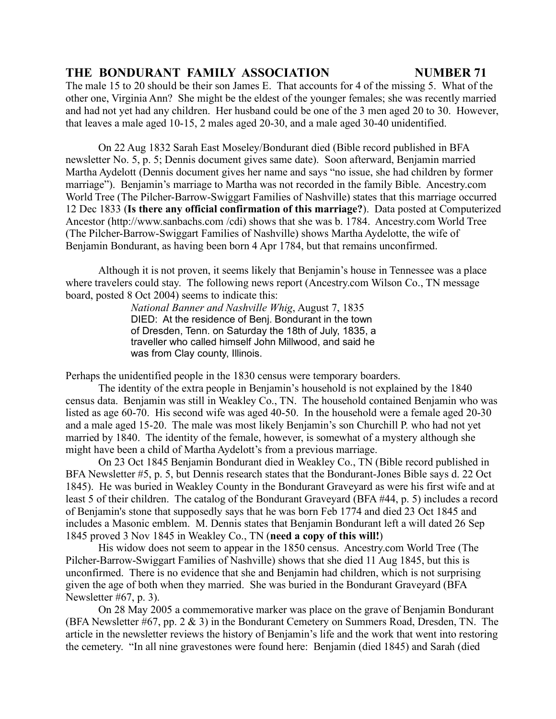The male 15 to 20 should be their son James E. That accounts for 4 of the missing 5. What of the other one, Virginia Ann? She might be the eldest of the younger females; she was recently married and had not yet had any children. Her husband could be one of the 3 men aged 20 to 30. However, that leaves a male aged 10-15, 2 males aged 20-30, and a male aged 30-40 unidentified.

On 22 Aug 1832 Sarah East Moseley/Bondurant died (Bible record published in BFA newsletter No. 5, p. 5; Dennis document gives same date). Soon afterward, Benjamin married Martha Aydelott (Dennis document gives her name and says "no issue, she had children by former marriage"). Benjamin's marriage to Martha was not recorded in the family Bible. Ancestry.com World Tree (The Pilcher-Barrow-Swiggart Families of Nashville) states that this marriage occurred 12 Dec 1833 (**Is there any official confirmation of this marriage?**). Data posted at Computerized Ancestor (http://www.sanbachs.com /cdi) shows that she was b. 1784. Ancestry.com World Tree (The Pilcher-Barrow-Swiggart Families of Nashville) shows Martha Aydelotte, the wife of Benjamin Bondurant, as having been born 4 Apr 1784, but that remains unconfirmed.

Although it is not proven, it seems likely that Benjamin's house in Tennessee was a place where travelers could stay. The following news report (Ancestry.com Wilson Co., TN message board, posted 8 Oct 2004) seems to indicate this:

> *National Banner and Nashville Whig*, August 7, 1835 DIED: At the residence of Benj. Bondurant in the town of Dresden, Tenn. on Saturday the 18th of July, 1835, a traveller who called himself John Millwood, and said he was from Clay county, Illinois.

Perhaps the unidentified people in the 1830 census were temporary boarders.

The identity of the extra people in Benjamin's household is not explained by the 1840 census data. Benjamin was still in Weakley Co., TN. The household contained Benjamin who was listed as age 60-70. His second wife was aged 40-50. In the household were a female aged 20-30 and a male aged 15-20. The male was most likely Benjamin's son Churchill P. who had not yet married by 1840. The identity of the female, however, is somewhat of a mystery although she might have been a child of Martha Aydelott's from a previous marriage.

On 23 Oct 1845 Benjamin Bondurant died in Weakley Co., TN (Bible record published in BFA Newsletter #5, p. 5, but Dennis research states that the Bondurant-Jones Bible says d. 22 Oct 1845). He was buried in Weakley County in the Bondurant Graveyard as were his first wife and at least 5 of their children. The catalog of the Bondurant Graveyard (BFA #44, p. 5) includes a record of Benjamin's stone that supposedly says that he was born Feb 1774 and died 23 Oct 1845 and includes a Masonic emblem. M. Dennis states that Benjamin Bondurant left a will dated 26 Sep 1845 proved 3 Nov 1845 in Weakley Co., TN (**need a copy of this will!**)

His widow does not seem to appear in the 1850 census. Ancestry.com World Tree (The Pilcher-Barrow-Swiggart Families of Nashville) shows that she died 11 Aug 1845, but this is unconfirmed. There is no evidence that she and Benjamin had children, which is not surprising given the age of both when they married. She was buried in the Bondurant Graveyard (BFA Newsletter #67, p. 3).

On 28 May 2005 a commemorative marker was place on the grave of Benjamin Bondurant (BFA Newsletter #67, pp. 2 & 3) in the Bondurant Cemetery on Summers Road, Dresden, TN. The article in the newsletter reviews the history of Benjamin's life and the work that went into restoring the cemetery. "In all nine gravestones were found here: Benjamin (died 1845) and Sarah (died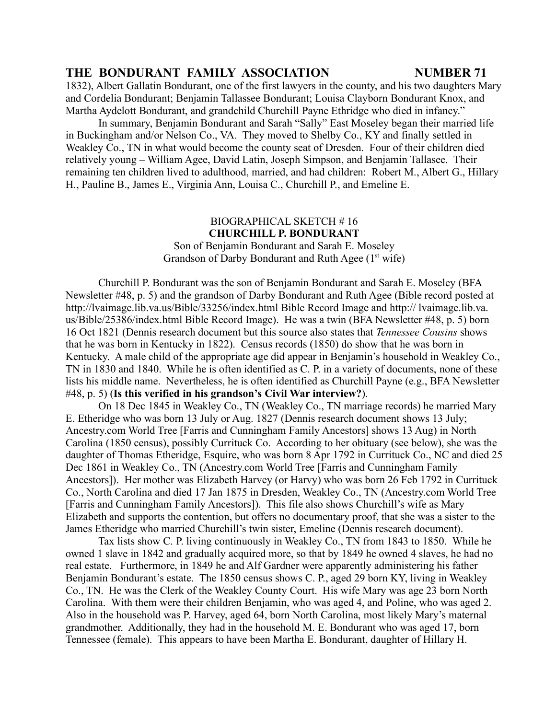1832), Albert Gallatin Bondurant, one of the first lawyers in the county, and his two daughters Mary and Cordelia Bondurant; Benjamin Tallassee Bondurant; Louisa Clayborn Bondurant Knox, and Martha Aydelott Bondurant, and grandchild Churchill Payne Ethridge who died in infancy."

In summary, Benjamin Bondurant and Sarah "Sally" East Moseley began their married life in Buckingham and/or Nelson Co., VA. They moved to Shelby Co., KY and finally settled in Weakley Co., TN in what would become the county seat of Dresden. Four of their children died relatively young – William Agee, David Latin, Joseph Simpson, and Benjamin Tallasee. Their remaining ten children lived to adulthood, married, and had children: Robert M., Albert G., Hillary H., Pauline B., James E., Virginia Ann, Louisa C., Churchill P., and Emeline E.

### BIOGRAPHICAL SKETCH # 16 **CHURCHILL P. BONDURANT**

Son of Benjamin Bondurant and Sarah E. Moseley Grandson of Darby Bondurant and Ruth Agee  $(1<sup>st</sup>$  wife)

Churchill P. Bondurant was the son of Benjamin Bondurant and Sarah E. Moseley (BFA Newsletter #48, p. 5) and the grandson of Darby Bondurant and Ruth Agee (Bible record posted at http://lvaimage.lib.va.us/Bible/33256/index.html Bible Record Image and http:// lvaimage.lib.va. us/Bible/25386/index.html Bible Record Image). He was a twin (BFA Newsletter #48, p. 5) born 16 Oct 1821 (Dennis research document but this source also states that *Tennessee Cousins* shows that he was born in Kentucky in 1822). Census records (1850) do show that he was born in Kentucky. A male child of the appropriate age did appear in Benjamin's household in Weakley Co., TN in 1830 and 1840. While he is often identified as C. P. in a variety of documents, none of these lists his middle name. Nevertheless, he is often identified as Churchill Payne (e.g., BFA Newsletter #48, p. 5) (**Is this verified in his grandson's Civil War interview?**).

On 18 Dec 1845 in Weakley Co., TN (Weakley Co., TN marriage records) he married Mary E. Etheridge who was born 13 July or Aug. 1827 (Dennis research document shows 13 July; Ancestry.com World Tree [Farris and Cunningham Family Ancestors] shows 13 Aug) in North Carolina (1850 census), possibly Currituck Co. According to her obituary (see below), she was the daughter of Thomas Etheridge, Esquire, who was born 8 Apr 1792 in Currituck Co., NC and died 25 Dec 1861 in Weakley Co., TN (Ancestry.com World Tree [Farris and Cunningham Family Ancestors]). Her mother was Elizabeth Harvey (or Harvy) who was born 26 Feb 1792 in Currituck Co., North Carolina and died 17 Jan 1875 in Dresden, Weakley Co., TN (Ancestry.com World Tree [Farris and Cunningham Family Ancestors]). This file also shows Churchill's wife as Mary Elizabeth and supports the contention, but offers no documentary proof, that she was a sister to the James Etheridge who married Churchill's twin sister, Emeline (Dennis research document).

Tax lists show C. P. living continuously in Weakley Co., TN from 1843 to 1850. While he owned 1 slave in 1842 and gradually acquired more, so that by 1849 he owned 4 slaves, he had no real estate. Furthermore, in 1849 he and Alf Gardner were apparently administering his father Benjamin Bondurant's estate. The 1850 census shows C. P., aged 29 born KY, living in Weakley Co., TN. He was the Clerk of the Weakley County Court. His wife Mary was age 23 born North Carolina. With them were their children Benjamin, who was aged 4, and Poline, who was aged 2. Also in the household was P. Harvey, aged 64, born North Carolina, most likely Mary's maternal grandmother. Additionally, they had in the household M. E. Bondurant who was aged 17, born Tennessee (female). This appears to have been Martha E. Bondurant, daughter of Hillary H.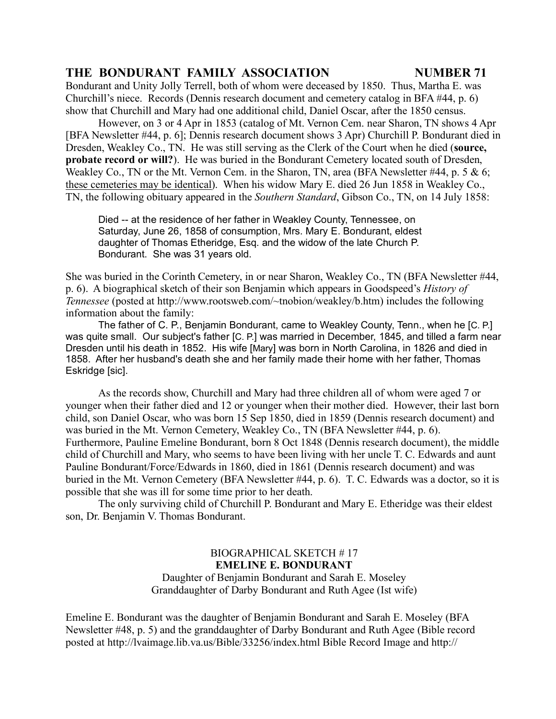Bondurant and Unity Jolly Terrell, both of whom were deceased by 1850. Thus, Martha E. was Churchill's niece. Records (Dennis research document and cemetery catalog in BFA #44, p. 6) show that Churchill and Mary had one additional child, Daniel Oscar, after the 1850 census.

However, on 3 or 4 Apr in 1853 (catalog of Mt. Vernon Cem. near Sharon, TN shows 4 Apr [BFA Newsletter #44, p. 6]; Dennis research document shows 3 Apr) Churchill P. Bondurant died in Dresden, Weakley Co., TN. He was still serving as the Clerk of the Court when he died (**source, probate record or will?**). He was buried in the Bondurant Cemetery located south of Dresden, Weakley Co., TN or the Mt. Vernon Cem. in the Sharon, TN, area (BFA Newsletter #44, p. 5 & 6; these cemeteries may be identical). When his widow Mary E. died 26 Jun 1858 in Weakley Co., TN, the following obituary appeared in the *Southern Standard*, Gibson Co., TN, on 14 July 1858:

Died -- at the residence of her father in Weakley County, Tennessee, on Saturday, June 26, 1858 of consumption, Mrs. Mary E. Bondurant, eldest daughter of Thomas Etheridge, Esq. and the widow of the late Church P. Bondurant. She was 31 years old.

She was buried in the Corinth Cemetery, in or near Sharon, Weakley Co., TN (BFA Newsletter #44, p. 6). A biographical sketch of their son Benjamin which appears in Goodspeed's *History of Tennessee* (posted at http://www.rootsweb.com/~tnobion/weakley/b.htm) includes the following information about the family:

The father of C. P., Benjamin Bondurant, came to Weakley County, Tenn., when he [C. P.] was quite small. Our subject's father [C. P.] was married in December, 1845, and tilled a farm near Dresden until his death in 1852. His wife [Mary] was born in North Carolina, in 1826 and died in 1858. After her husband's death she and her family made their home with her father, Thomas Eskridge [sic].

As the records show, Churchill and Mary had three children all of whom were aged 7 or younger when their father died and 12 or younger when their mother died. However, their last born child, son Daniel Oscar, who was born 15 Sep 1850, died in 1859 (Dennis research document) and was buried in the Mt. Vernon Cemetery, Weakley Co., TN (BFA Newsletter #44, p. 6). Furthermore, Pauline Emeline Bondurant, born 8 Oct 1848 (Dennis research document), the middle child of Churchill and Mary, who seems to have been living with her uncle T. C. Edwards and aunt Pauline Bondurant/Force/Edwards in 1860, died in 1861 (Dennis research document) and was buried in the Mt. Vernon Cemetery (BFA Newsletter #44, p. 6). T. C. Edwards was a doctor, so it is possible that she was ill for some time prior to her death.

The only surviving child of Churchill P. Bondurant and Mary E. Etheridge was their eldest son, Dr. Benjamin V. Thomas Bondurant.

> BIOGRAPHICAL SKETCH # 17 **EMELINE E. BONDURANT** Daughter of Benjamin Bondurant and Sarah E. Moseley Granddaughter of Darby Bondurant and Ruth Agee (Ist wife)

Emeline E. Bondurant was the daughter of Benjamin Bondurant and Sarah E. Moseley (BFA Newsletter #48, p. 5) and the granddaughter of Darby Bondurant and Ruth Agee (Bible record posted at http://lvaimage.lib.va.us/Bible/33256/index.html Bible Record Image and http://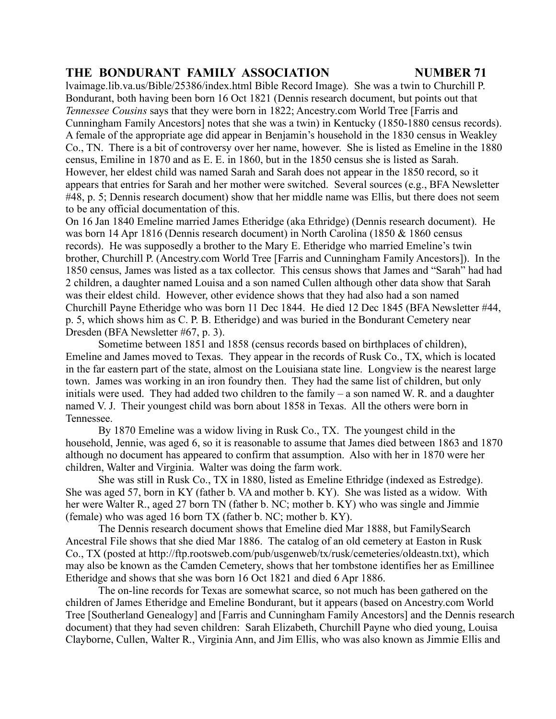lvaimage.lib.va.us/Bible/25386/index.html Bible Record Image). She was a twin to Churchill P. Bondurant, both having been born 16 Oct 1821 (Dennis research document, but points out that *Tennessee Cousins* says that they were born in 1822; Ancestry.com World Tree [Farris and Cunningham Family Ancestors] notes that she was a twin) in Kentucky (1850-1880 census records). A female of the appropriate age did appear in Benjamin's household in the 1830 census in Weakley Co., TN. There is a bit of controversy over her name, however. She is listed as Emeline in the 1880 census, Emiline in 1870 and as E. E. in 1860, but in the 1850 census she is listed as Sarah. However, her eldest child was named Sarah and Sarah does not appear in the 1850 record, so it appears that entries for Sarah and her mother were switched. Several sources (e.g., BFA Newsletter #48, p. 5; Dennis research document) show that her middle name was Ellis, but there does not seem to be any official documentation of this.

On 16 Jan 1840 Emeline married James Etheridge (aka Ethridge) (Dennis research document). He was born 14 Apr 1816 (Dennis research document) in North Carolina (1850 & 1860 census records). He was supposedly a brother to the Mary E. Etheridge who married Emeline's twin brother, Churchill P. (Ancestry.com World Tree [Farris and Cunningham Family Ancestors]). In the 1850 census, James was listed as a tax collector. This census shows that James and "Sarah" had had 2 children, a daughter named Louisa and a son named Cullen although other data show that Sarah was their eldest child. However, other evidence shows that they had also had a son named Churchill Payne Etheridge who was born 11 Dec 1844. He died 12 Dec 1845 (BFA Newsletter #44, p. 5, which shows him as C. P. B. Etheridge) and was buried in the Bondurant Cemetery near Dresden (BFA Newsletter #67, p. 3).

Sometime between 1851 and 1858 (census records based on birthplaces of children), Emeline and James moved to Texas. They appear in the records of Rusk Co., TX, which is located in the far eastern part of the state, almost on the Louisiana state line. Longview is the nearest large town. James was working in an iron foundry then. They had the same list of children, but only initials were used. They had added two children to the family  $-$  a son named W. R. and a daughter named V. J. Their youngest child was born about 1858 in Texas. All the others were born in Tennessee.

By 1870 Emeline was a widow living in Rusk Co., TX. The youngest child in the household, Jennie, was aged 6, so it is reasonable to assume that James died between 1863 and 1870 although no document has appeared to confirm that assumption. Also with her in 1870 were her children, Walter and Virginia. Walter was doing the farm work.

She was still in Rusk Co., TX in 1880, listed as Emeline Ethridge (indexed as Estredge). She was aged 57, born in KY (father b. VA and mother b. KY). She was listed as a widow. With her were Walter R., aged 27 born TN (father b. NC; mother b. KY) who was single and Jimmie (female) who was aged 16 born TX (father b. NC; mother b. KY).

The Dennis research document shows that Emeline died Mar 1888, but FamilySearch Ancestral File shows that she died Mar 1886. The catalog of an old cemetery at Easton in Rusk Co., TX (posted at http://ftp.rootsweb.com/pub/usgenweb/tx/rusk/cemeteries/oldeastn.txt), which may also be known as the Camden Cemetery, shows that her tombstone identifies her as Emillinee Etheridge and shows that she was born 16 Oct 1821 and died 6 Apr 1886.

The on-line records for Texas are somewhat scarce, so not much has been gathered on the children of James Etheridge and Emeline Bondurant, but it appears (based on Ancestry.com World Tree [Southerland Genealogy] and [Farris and Cunningham Family Ancestors] and the Dennis research document) that they had seven children: Sarah Elizabeth, Churchill Payne who died young, Louisa Clayborne, Cullen, Walter R., Virginia Ann, and Jim Ellis, who was also known as Jimmie Ellis and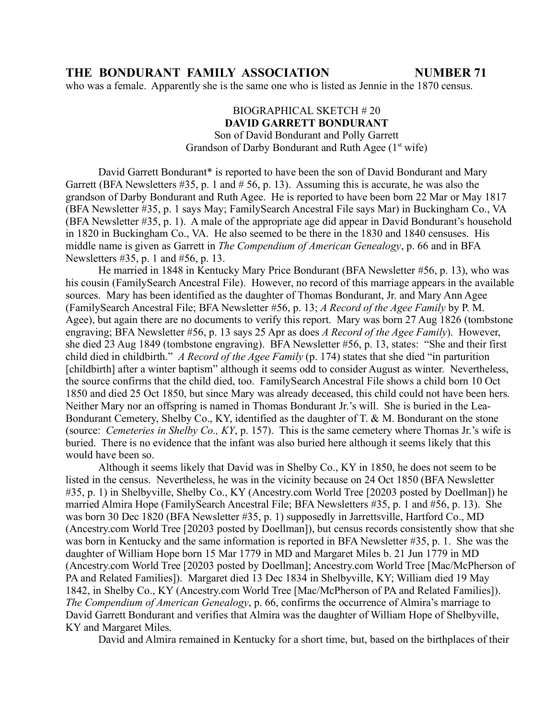who was a female. Apparently she is the same one who is listed as Jennie in the 1870 census.

### BIOGRAPHICAL SKETCH # 20 **DAVID GARRETT BONDURANT**

Son of David Bondurant and Polly Garrett Grandson of Darby Bondurant and Ruth Agee  $(1<sup>st</sup>$  wife)

David Garrett Bondurant\* is reported to have been the son of David Bondurant and Mary Garrett (BFA Newsletters #35, p. 1 and # 56, p. 13). Assuming this is accurate, he was also the grandson of Darby Bondurant and Ruth Agee. He is reported to have been born 22 Mar or May 1817 (BFA Newsletter #35, p. 1 says May; FamilySearch Ancestral File says Mar) in Buckingham Co., VA (BFA Newsletter #35, p. 1). A male of the appropriate age did appear in David Bondurant's household in 1820 in Buckingham Co., VA. He also seemed to be there in the 1830 and 1840 censuses. His middle name is given as Garrett in *The Compendium of American Genealogy*, p. 66 and in BFA Newsletters #35, p. 1 and #56, p. 13.

He married in 1848 in Kentucky Mary Price Bondurant (BFA Newsletter #56, p. 13), who was his cousin (FamilySearch Ancestral File). However, no record of this marriage appears in the available sources. Mary has been identified as the daughter of Thomas Bondurant, Jr. and Mary Ann Agee (FamilySearch Ancestral File; BFA Newsletter #56, p. 13; *A Record of the Agee Family* by P. M. Agee), but again there are no documents to verify this report. Mary was born 27 Aug 1826 (tombstone engraving; BFA Newsletter #56, p. 13 says 25 Apr as does *A Record of the Agee Family*). However, she died 23 Aug 1849 (tombstone engraving). BFA Newsletter #56, p. 13, states: "She and their first child died in childbirth." *A Record of the Agee Family* (p. 174) states that she died "in parturition [childbirth] after a winter baptism" although it seems odd to consider August as winter. Nevertheless, the source confirms that the child died, too. FamilySearch Ancestral File shows a child born 10 Oct 1850 and died 25 Oct 1850, but since Mary was already deceased, this child could not have been hers. Neither Mary nor an offspring is named in Thomas Bondurant Jr.'s will. She is buried in the Lea-Bondurant Cemetery, Shelby Co., KY, identified as the daughter of T. & M. Bondurant on the stone (source: *Cemeteries in Shelby Co., KY*, p. 157). This is the same cemetery where Thomas Jr.'s wife is buried. There is no evidence that the infant was also buried here although it seems likely that this would have been so.

Although it seems likely that David was in Shelby Co., KY in 1850, he does not seem to be listed in the census. Nevertheless, he was in the vicinity because on 24 Oct 1850 (BFA Newsletter #35, p. 1) in Shelbyville, Shelby Co., KY (Ancestry.com World Tree [20203 posted by Doellman]) he married Almira Hope (FamilySearch Ancestral File; BFA Newsletters #35, p. 1 and #56, p. 13). She was born 30 Dec 1820 (BFA Newsletter #35, p. 1) supposedly in Jarrettsville, Hartford Co., MD (Ancestry.com World Tree [20203 posted by Doellman]), but census records consistently show that she was born in Kentucky and the same information is reported in BFA Newsletter #35, p. 1. She was the daughter of William Hope born 15 Mar 1779 in MD and Margaret Miles b. 21 Jun 1779 in MD (Ancestry.com World Tree [20203 posted by Doellman]; Ancestry.com World Tree [Mac/McPherson of PA and Related Families]). Margaret died 13 Dec 1834 in Shelbyville, KY; William died 19 May 1842, in Shelby Co., KY (Ancestry.com World Tree [Mac/McPherson of PA and Related Families]). *The Compendium of American Genealogy*, p. 66, confirms the occurrence of Almira's marriage to David Garrett Bondurant and verifies that Almira was the daughter of William Hope of Shelbyville, KY and Margaret Miles.

David and Almira remained in Kentucky for a short time, but, based on the birthplaces of their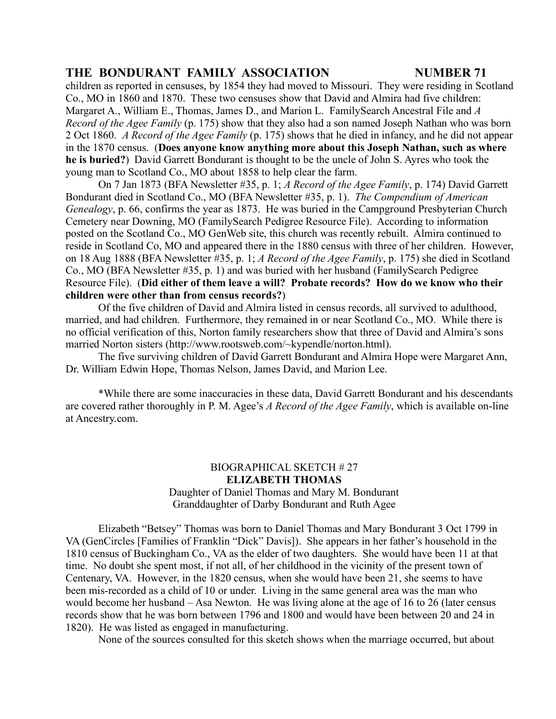children as reported in censuses, by 1854 they had moved to Missouri. They were residing in Scotland Co., MO in 1860 and 1870. These two censuses show that David and Almira had five children: Margaret A., William E., Thomas, James D., and Marion L. FamilySearch Ancestral File and *A Record of the Agee Family* (p. 175) show that they also had a son named Joseph Nathan who was born 2 Oct 1860. *A Record of the Agee Family* (p. 175) shows that he died in infancy, and he did not appear in the 1870 census. (**Does anyone know anything more about this Joseph Nathan, such as where he is buried?**) David Garrett Bondurant is thought to be the uncle of John S. Ayres who took the young man to Scotland Co., MO about 1858 to help clear the farm.

On 7 Jan 1873 (BFA Newsletter #35, p. 1; *A Record of the Agee Family*, p. 174) David Garrett Bondurant died in Scotland Co., MO (BFA Newsletter #35, p. 1). *The Compendium of American Genealogy*, p. 66, confirms the year as 1873. He was buried in the Campground Presbyterian Church Cemetery near Downing, MO (FamilySearch Pedigree Resource File). According to information posted on the Scotland Co., MO GenWeb site, this church was recently rebuilt. Almira continued to reside in Scotland Co, MO and appeared there in the 1880 census with three of her children. However, on 18 Aug 1888 (BFA Newsletter #35, p. 1; *A Record of the Agee Family*, p. 175) she died in Scotland Co., MO (BFA Newsletter #35, p. 1) and was buried with her husband (FamilySearch Pedigree Resource File). (**Did either of them leave a will? Probate records? How do we know who their children were other than from census records?**)

Of the five children of David and Almira listed in census records, all survived to adulthood, married, and had children. Furthermore, they remained in or near Scotland Co., MO. While there is no official verification of this, Norton family researchers show that three of David and Almira's sons married Norton sisters (http://www.rootsweb.com/~kypendle/norton.html).

The five surviving children of David Garrett Bondurant and Almira Hope were Margaret Ann, Dr. William Edwin Hope, Thomas Nelson, James David, and Marion Lee.

\*While there are some inaccuracies in these data, David Garrett Bondurant and his descendants are covered rather thoroughly in P. M. Agee's *A Record of the Agee Family*, which is available on-line at Ancestry.com.

### BIOGRAPHICAL SKETCH # 27 **ELIZABETH THOMAS** Daughter of Daniel Thomas and Mary M. Bondurant Granddaughter of Darby Bondurant and Ruth Agee

Elizabeth "Betsey" Thomas was born to Daniel Thomas and Mary Bondurant 3 Oct 1799 in VA (GenCircles [Families of Franklin "Dick" Davis]). She appears in her father's household in the 1810 census of Buckingham Co., VA as the elder of two daughters. She would have been 11 at that time. No doubt she spent most, if not all, of her childhood in the vicinity of the present town of Centenary, VA. However, in the 1820 census, when she would have been 21, she seems to have been mis-recorded as a child of 10 or under. Living in the same general area was the man who would become her husband – Asa Newton. He was living alone at the age of 16 to 26 (later census records show that he was born between 1796 and 1800 and would have been between 20 and 24 in 1820). He was listed as engaged in manufacturing.

None of the sources consulted for this sketch shows when the marriage occurred, but about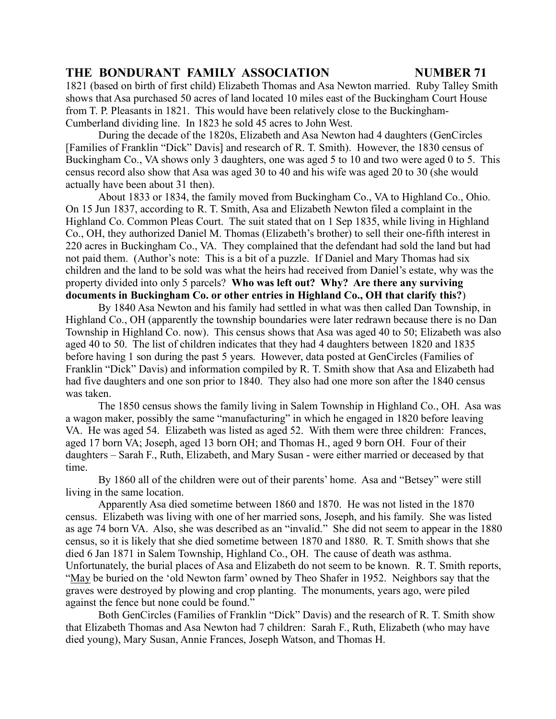1821 (based on birth of first child) Elizabeth Thomas and Asa Newton married. Ruby Talley Smith shows that Asa purchased 50 acres of land located 10 miles east of the Buckingham Court House from T. P. Pleasants in 1821. This would have been relatively close to the Buckingham-Cumberland dividing line. In 1823 he sold 45 acres to John West.

During the decade of the 1820s, Elizabeth and Asa Newton had 4 daughters (GenCircles [Families of Franklin "Dick" Davis] and research of R. T. Smith). However, the 1830 census of Buckingham Co., VA shows only 3 daughters, one was aged 5 to 10 and two were aged 0 to 5. This census record also show that Asa was aged 30 to 40 and his wife was aged 20 to 30 (she would actually have been about 31 then).

About 1833 or 1834, the family moved from Buckingham Co., VA to Highland Co., Ohio. On 15 Jun 1837, according to R. T. Smith, Asa and Elizabeth Newton filed a complaint in the Highland Co. Common Pleas Court. The suit stated that on 1 Sep 1835, while living in Highland Co., OH, they authorized Daniel M. Thomas (Elizabeth's brother) to sell their one-fifth interest in 220 acres in Buckingham Co., VA. They complained that the defendant had sold the land but had not paid them. (Author's note: This is a bit of a puzzle. If Daniel and Mary Thomas had six children and the land to be sold was what the heirs had received from Daniel's estate, why was the property divided into only 5 parcels? **Who was left out? Why? Are there any surviving documents in Buckingham Co. or other entries in Highland Co., OH that clarify this?**)

By 1840 Asa Newton and his family had settled in what was then called Dan Township, in Highland Co., OH (apparently the township boundaries were later redrawn because there is no Dan Township in Highland Co. now). This census shows that Asa was aged 40 to 50; Elizabeth was also aged 40 to 50. The list of children indicates that they had 4 daughters between 1820 and 1835 before having 1 son during the past 5 years. However, data posted at GenCircles (Families of Franklin "Dick" Davis) and information compiled by R. T. Smith show that Asa and Elizabeth had had five daughters and one son prior to 1840. They also had one more son after the 1840 census was taken.

The 1850 census shows the family living in Salem Township in Highland Co., OH. Asa was a wagon maker, possibly the same "manufacturing" in which he engaged in 1820 before leaving VA. He was aged 54. Elizabeth was listed as aged 52. With them were three children: Frances, aged 17 born VA; Joseph, aged 13 born OH; and Thomas H., aged 9 born OH. Four of their daughters – Sarah F., Ruth, Elizabeth, and Mary Susan - were either married or deceased by that time.

By 1860 all of the children were out of their parents' home. Asa and "Betsey" were still living in the same location.

Apparently Asa died sometime between 1860 and 1870. He was not listed in the 1870 census. Elizabeth was living with one of her married sons, Joseph, and his family. She was listed as age 74 born VA. Also, she was described as an "invalid." She did not seem to appear in the 1880 census, so it is likely that she died sometime between 1870 and 1880. R. T. Smith shows that she died 6 Jan 1871 in Salem Township, Highland Co., OH. The cause of death was asthma. Unfortunately, the burial places of Asa and Elizabeth do not seem to be known. R. T. Smith reports, "May be buried on the 'old Newton farm' owned by Theo Shafer in 1952. Neighbors say that the graves were destroyed by plowing and crop planting. The monuments, years ago, were piled against the fence but none could be found."

Both GenCircles (Families of Franklin "Dick" Davis) and the research of R. T. Smith show that Elizabeth Thomas and Asa Newton had 7 children: Sarah F., Ruth, Elizabeth (who may have died young), Mary Susan, Annie Frances, Joseph Watson, and Thomas H.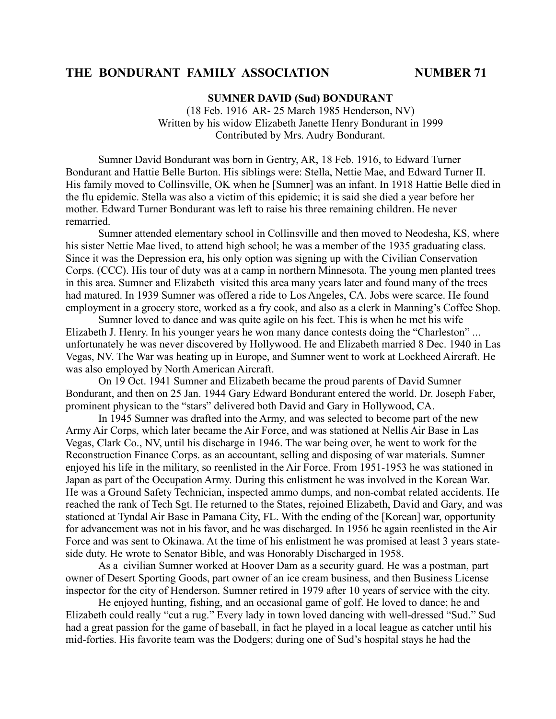### **SUMNER DAVID (Sud) BONDURANT**

(18 Feb. 1916 AR- 25 March 1985 Henderson, NV) Written by his widow Elizabeth Janette Henry Bondurant in 1999 Contributed by Mrs. Audry Bondurant.

Sumner David Bondurant was born in Gentry, AR, 18 Feb. 1916, to Edward Turner Bondurant and Hattie Belle Burton. His siblings were: Stella, Nettie Mae, and Edward Turner II. His family moved to Collinsville, OK when he [Sumner] was an infant. In 1918 Hattie Belle died in the flu epidemic. Stella was also a victim of this epidemic; it is said she died a year before her mother. Edward Turner Bondurant was left to raise his three remaining children. He never remarried.

Sumner attended elementary school in Collinsville and then moved to Neodesha, KS, where his sister Nettie Mae lived, to attend high school; he was a member of the 1935 graduating class. Since it was the Depression era, his only option was signing up with the Civilian Conservation Corps. (CCC). His tour of duty was at a camp in northern Minnesota. The young men planted trees in this area. Sumner and Elizabeth visited this area many years later and found many of the trees had matured. In 1939 Sumner was offered a ride to Los Angeles, CA. Jobs were scarce. He found employment in a grocery store, worked as a fry cook, and also as a clerk in Manning's Coffee Shop.

Sumner loved to dance and was quite agile on his feet. This is when he met his wife Elizabeth J. Henry. In his younger years he won many dance contests doing the "Charleston" ... unfortunately he was never discovered by Hollywood. He and Elizabeth married 8 Dec. 1940 in Las Vegas, NV. The War was heating up in Europe, and Sumner went to work at Lockheed Aircraft. He was also employed by North American Aircraft.

On 19 Oct. 1941 Sumner and Elizabeth became the proud parents of David Sumner Bondurant, and then on 25 Jan. 1944 Gary Edward Bondurant entered the world. Dr. Joseph Faber, prominent physican to the "stars" delivered both David and Gary in Hollywood, CA.

In 1945 Sumner was drafted into the Army, and was selected to become part of the new Army Air Corps, which later became the Air Force, and was stationed at Nellis Air Base in Las Vegas, Clark Co., NV, until his discharge in 1946. The war being over, he went to work for the Reconstruction Finance Corps. as an accountant, selling and disposing of war materials. Sumner enjoyed his life in the military, so reenlisted in the Air Force. From 1951-1953 he was stationed in Japan as part of the Occupation Army. During this enlistment he was involved in the Korean War. He was a Ground Safety Technician, inspected ammo dumps, and non-combat related accidents. He reached the rank of Tech Sgt. He returned to the States, rejoined Elizabeth, David and Gary, and was stationed at Tyndal Air Base in Pamana City, FL. With the ending of the [Korean] war, opportunity for advancement was not in his favor, and he was discharged. In 1956 he again reenlisted in the Air Force and was sent to Okinawa. At the time of his enlistment he was promised at least 3 years stateside duty. He wrote to Senator Bible, and was Honorably Discharged in 1958.

As a civilian Sumner worked at Hoover Dam as a security guard. He was a postman, part owner of Desert Sporting Goods, part owner of an ice cream business, and then Business License inspector for the city of Henderson. Sumner retired in 1979 after 10 years of service with the city.

He enjoyed hunting, fishing, and an occasional game of golf. He loved to dance; he and Elizabeth could really "cut a rug." Every lady in town loved dancing with well-dressed "Sud." Sud had a great passion for the game of baseball, in fact he played in a local league as catcher until his mid-forties. His favorite team was the Dodgers; during one of Sud's hospital stays he had the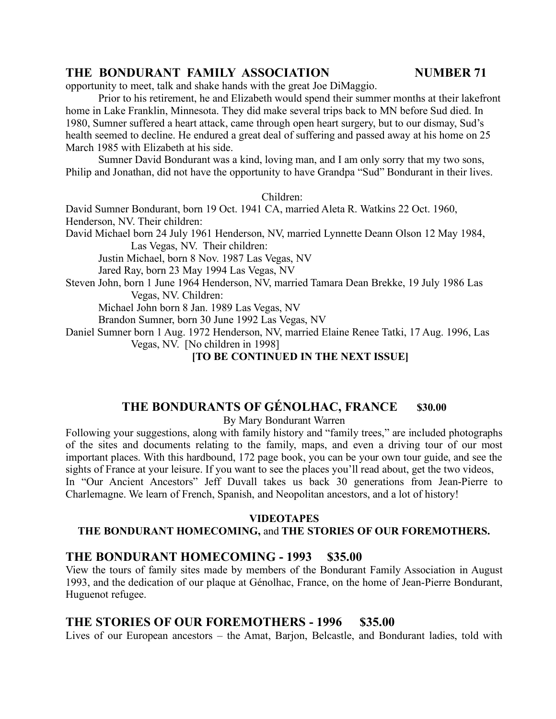opportunity to meet, talk and shake hands with the great Joe DiMaggio.

Prior to his retirement, he and Elizabeth would spend their summer months at their lakefront home in Lake Franklin, Minnesota. They did make several trips back to MN before Sud died. In 1980, Sumner suffered a heart attack, came through open heart surgery, but to our dismay, Sud's health seemed to decline. He endured a great deal of suffering and passed away at his home on 25 March 1985 with Elizabeth at his side.

Sumner David Bondurant was a kind, loving man, and I am only sorry that my two sons, Philip and Jonathan, did not have the opportunity to have Grandpa "Sud" Bondurant in their lives.

Children:

David Sumner Bondurant, born 19 Oct. 1941 CA, married Aleta R. Watkins 22 Oct. 1960, Henderson, NV. Their children:

David Michael born 24 July 1961 Henderson, NV, married Lynnette Deann Olson 12 May 1984, Las Vegas, NV. Their children:

Justin Michael, born 8 Nov. 1987 Las Vegas, NV

Jared Ray, born 23 May 1994 Las Vegas, NV

Steven John, born 1 June 1964 Henderson, NV, married Tamara Dean Brekke, 19 July 1986 Las Vegas, NV. Children:

Michael John born 8 Jan. 1989 Las Vegas, NV

Brandon Sumner, born 30 June 1992 Las Vegas, NV

Daniel Sumner born 1 Aug. 1972 Henderson, NV, married Elaine Renee Tatki, 17 Aug. 1996, Las Vegas, NV. [No children in 1998]

**[TO BE CONTINUED IN THE NEXT ISSUE]**

# **THE BONDURANTS OF GÉNOLHAC, FRANCE \$30.00**

By Mary Bondurant Warren

Following your suggestions, along with family history and "family trees," are included photographs of the sites and documents relating to the family, maps, and even a driving tour of our most important places. With this hardbound, 172 page book, you can be your own tour guide, and see the sights of France at your leisure. If you want to see the places you'll read about, get the two videos, In "Our Ancient Ancestors" Jeff Duvall takes us back 30 generations from Jean-Pierre to Charlemagne. We learn of French, Spanish, and Neopolitan ancestors, and a lot of history!

### **VIDEOTAPES**

### **THE BONDURANT HOMECOMING,** and **THE STORIES OF OUR FOREMOTHERS.**

## **THE BONDURANT HOMECOMING - 1993 \$35.00**

View the tours of family sites made by members of the Bondurant Family Association in August 1993, and the dedication of our plaque at Génolhac, France, on the home of Jean-Pierre Bondurant, Huguenot refugee.

## **THE STORIES OF OUR FOREMOTHERS - 1996 \$35.00**

Lives of our European ancestors – the Amat, Barjon, Belcastle, and Bondurant ladies, told with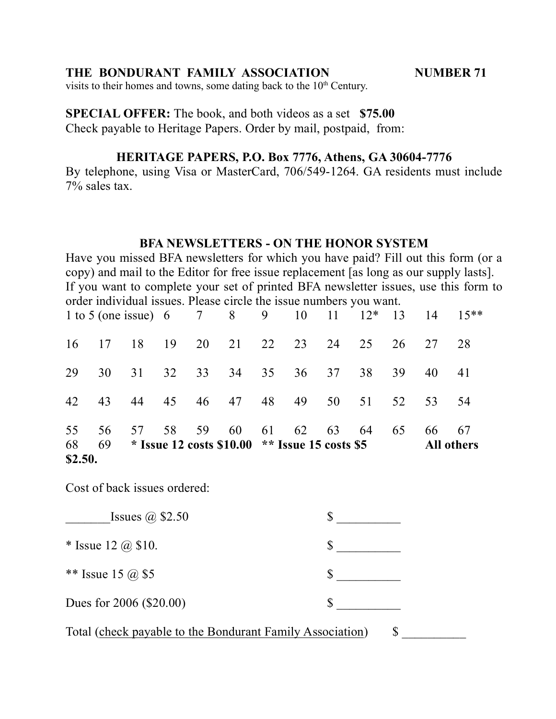visits to their homes and towns, some dating back to the 10<sup>th</sup> Century.

**SPECIAL OFFER:** The book, and both videos as a set **\$75.00** Check payable to Heritage Papers. Order by mail, postpaid, from:

## **HERITAGE PAPERS, P.O. Box 7776, Athens, GA 30604-7776**

By telephone, using Visa or MasterCard, 706/549-1264. GA residents must include 7% sales tax.

### **BFA NEWSLETTERS - ON THE HONOR SYSTEM**

Have you missed BFA newsletters for which you have paid? Fill out this form (or a copy) and mail to the Editor for free issue replacement [as long as our supply lasts]. If you want to complete your set of printed BFA newsletter issues, use this form to order individual issues. Please circle the issue numbers you want.

| \$2.50. |    |    |                                                 |    |    |          |    |    |                   |    |
|---------|----|----|-------------------------------------------------|----|----|----------|----|----|-------------------|----|
| 68      | 69 |    | * Issue 12 costs $$10.00$ ** Issue 15 costs \$5 |    |    |          |    |    | <b>All others</b> |    |
| 55      | 56 | 57 | 58 59                                           | 60 |    | 61 62 63 | 64 | 65 | 66                | 67 |
| 42      | 43 | 44 | 45 46 47 48 49 50 51                            |    |    |          |    | 52 | 53                | 54 |
| 29      | 30 |    | 31 32 33                                        | 34 | 35 | 36 37    | 38 | 39 | 40 41             |    |
| 16      |    |    | 17 18 19 20 21 22 23 24                         |    |    |          | 25 | 26 | 27                | 28 |
|         |    |    | 1 to 5 (one issue) 6 7 8 9 10 11 12* 13 14 15** |    |    |          |    |    |                   |    |

Cost of back issues ordered:

| Issues $\omega$ \$2.50                                    |  |
|-----------------------------------------------------------|--|
| * Issue 12 $\omega$ \$10.                                 |  |
| ** Issue 15 @ \$5                                         |  |
| Dues for 2006 (\$20.00)                                   |  |
| Total (check payable to the Bondurant Family Association) |  |